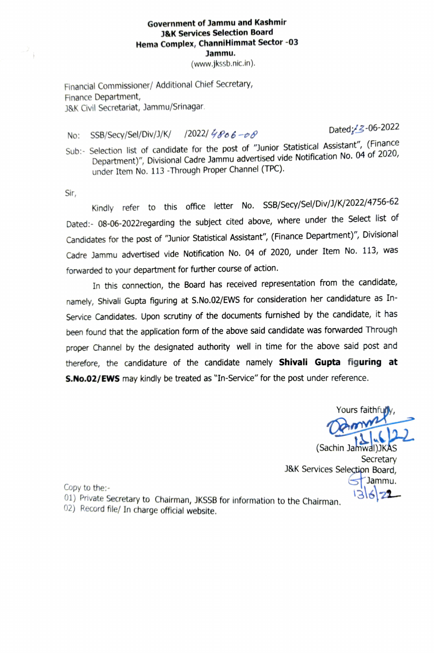## Government of Jammu and Kashmir J&K Services Selection Board Hema Complex, ChanniHimmat Sector -03 Jammu.

(www.jkssb.nic.in).

Financial Commissioner/ Additional Chief Secretary, Finance Department, J&K Civil Secretariat, Jammu/Srinagar

No: SSB/Secy/Sel/Div/J/K/ /2022/  $\frac{7}{5}$  / $\theta$  6 -  $\theta$  // 0 - 0 0  $\theta$ 

Sub:- Selection list of candidate for the post of "Junior Statistical Assistant", (Finance Department)", Divisional Cadre Jammu advertised vide Notification No. 04 of 2020, under Item No. 113 -Through Proper Channel (TPC).

Sir,

Kindly refer to this office letter No. SSB/Secy/Sel/Div/J/K/2022/4756-62 Dated:- 08-06-2022regarding the subject cited above, where under the Select list of Candidates for the post of "Junior Statistical Assistant", (Finance Department)", Divisional Cadre Jammu advertised vide Notification No. 04 of 2020, under Item No. 113, was forwarded to your department for further course of action.

In this connection, the Board has received representation from the candidate, namely, Shivali Gupta figuring at S.No.02/EWS for consideration her candidature as In-Service Candidates. Upon scrutiny of the documents furnished by the candidate, it has been found that the application form of the above said candidate was forwarded Through proper Channel by the designated authority well in time for the above said post and therefore, the candidature of the candidate namely Shivali Gupta figuring at S.No.02/EWS may kindly be treated as "In-Service" for the post under reference.

Yours faithfu**n** 

(Sachin Jamwal)JKÁS Secretary<br>,J&K Services Selection Board sJammu.

- Copy to the:-<br>01) Private Secretary to Chairman, JKSSB for information to the Chairman.
- 02) Record file/ In charge official website.